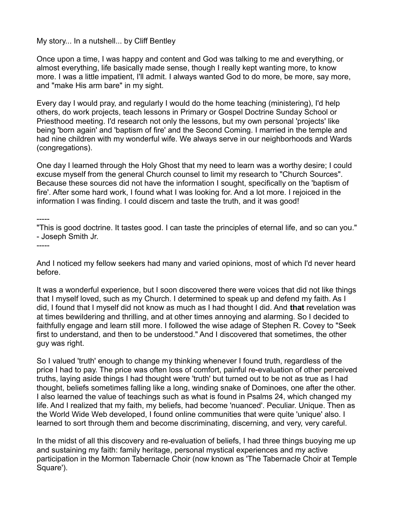My story... In a nutshell... by Cliff Bentley

Once upon a time, I was happy and content and God was talking to me and everything, or almost everything, life basically made sense, though I really kept wanting more, to know more. I was a little impatient, I'll admit. I always wanted God to do more, be more, say more, and "make His arm bare" in my sight.

Every day I would pray, and regularly I would do the home teaching (ministering), I'd help others, do work projects, teach lessons in Primary or Gospel Doctrine Sunday School or Priesthood meeting. I'd research not only the lessons, but my own personal 'projects' like being 'born again' and 'baptism of fire' and the Second Coming. I married in the temple and had nine children with my wonderful wife. We always serve in our neighborhoods and Wards (congregations).

One day I learned through the Holy Ghost that my need to learn was a worthy desire; I could excuse myself from the general Church counsel to limit my research to "Church Sources". Because these sources did not have the information I sought, specifically on the 'baptism of fire'. After some hard work, I found what I was looking for. And a lot more. I rejoiced in the information I was finding. I could discern and taste the truth, and it was good!

-----

-----

"This is good doctrine. It tastes good. I can taste the principles of eternal life, and so can you." - Joseph Smith Jr.

And I noticed my fellow seekers had many and varied opinions, most of which I'd never heard before.

It was a wonderful experience, but I soon discovered there were voices that did not like things that I myself loved, such as my Church. I determined to speak up and defend my faith. As I did, I found that I myself did not know as much as I had thought I did. And **that** revelation was at times bewildering and thrilling, and at other times annoying and alarming. So I decided to faithfully engage and learn still more. I followed the wise adage of Stephen R. Covey to "Seek first to understand, and then to be understood." And I discovered that sometimes, the other guy was right.

So I valued 'truth' enough to change my thinking whenever I found truth, regardless of the price I had to pay. The price was often loss of comfort, painful re-evaluation of other perceived truths, laying aside things I had thought were 'truth' but turned out to be not as true as I had thought, beliefs sometimes falling like a long, winding snake of Dominoes, one after the other. I also learned the value of teachings such as what is found in Psalms 24, which changed my life. And I realized that my faith, my beliefs, had become 'nuanced'. Peculiar. Unique. Then as the World Wide Web developed, I found online communities that were quite 'unique' also. I learned to sort through them and become discriminating, discerning, and very, very careful.

In the midst of all this discovery and re-evaluation of beliefs, I had three things buoying me up and sustaining my faith: family heritage, personal mystical experiences and my active participation in the Mormon Tabernacle Choir (now known as 'The Tabernacle Choir at Temple Square').